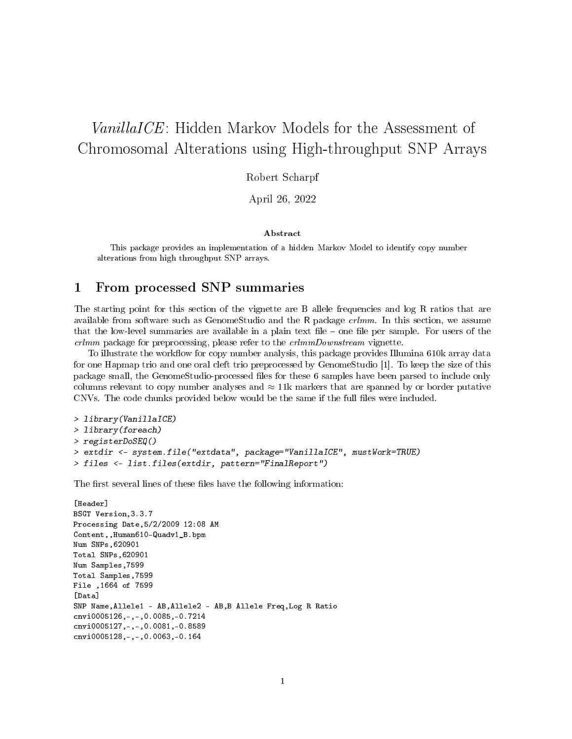# VanillaICE: Hidden Markov Models for the Assessment of Chromosomal Alterations using High-throughput SNP Arrays

Robert Scharpf

April 26, 2022

#### Abstract

This package provides an implementation of a hidden Markov Model to identify copy number alterations from high throughput SNP arrays.

### 1 From processed SNP summaries

The starting point for this section of the vignette are B allele frequencies and log R ratios that are available from software such as GenomeStudio and the R package crlmm. In this section, we assume that the low-level summaries are available in a plain text file  $-$  one file per sample. For users of the crlmm package for preprocessing, please refer to the crlmmDownstream vignette.

To illustrate the workflow for copy number analysis, this package provides Illumina 610k array data for one Hapmap trio and one oral cleft trio preprocessed by GenomeStudio [1]. To keep the size of this package small, the GenomeStudio-processed files for these 6 samples have been parsed to include only columns relevant to copy number analyses and  $\approx$  11k markers that are spanned by or border putative CNVs. The code chunks provided below would be the same if the full files were included.

```
> library(VanillaICE)
> library(foreach)
> registerDoSEQ()
> extdir <- system.file("extdata", package="VanillaICE", mustWork=TRUE)
> files <- list.files(extdir, pattern="FinalReport")
```
The first several lines of these files have the following information:

```
[Header]
BSGT Version,3.3.7
Processing Date,5/2/2009 12:08 AM
Content,,Human610-Quadv1_B.bpm
Num SNPs,620901
Total SNPs,620901
Num Samples,7599
Total Samples,7599
File ,1664 of 7599
[Data]
SNP Name,Allele1 - AB,Allele2 - AB,B Allele Freq,Log R Ratio
cnvi0005126,-,-,0.0085,-0.7214
cnvi0005127,-,-,0.0081,-0.8589
cnvi0005128,-,-,0.0063,-0.164
```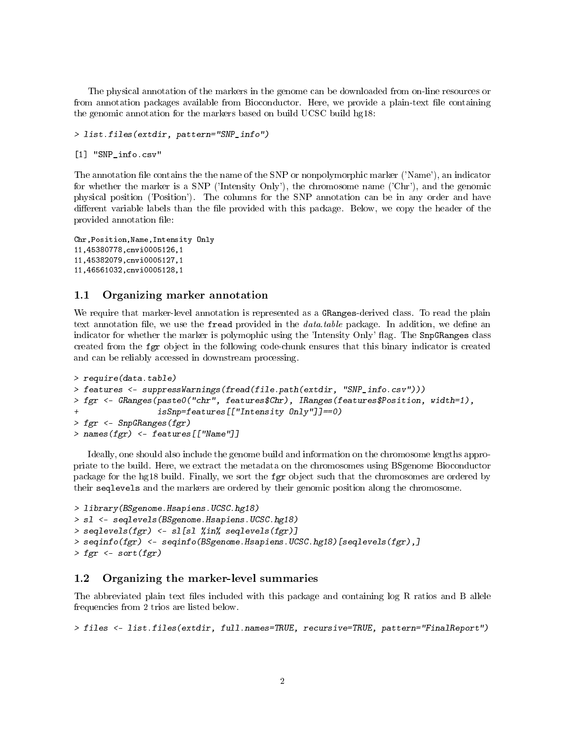The physical annotation of the markers in the genome can be downloaded from on-line resources or from annotation packages available from Bioconductor. Here, we provide a plain-text file containing the genomic annotation for the markers based on build UCSC build hg18:

> list.files(extdir, pattern="SNP\_info")

[1] "SNP\_info.csv"

The annotation file contains the the name of the SNP or nonpolymorphic marker ('Name'), an indicator for whether the marker is a SNP ('Intensity Only'), the chromosome name ('Chr'), and the genomic physical position ('Position'). The columns for the SNP annotation can be in any order and have different variable labels than the file provided with this package. Below, we copy the header of the provided annotation file:

```
Chr,Position,Name,Intensity Only
11,45380778,cnvi0005126,1
11,45382079,cnvi0005127,1
11,46561032,cnvi0005128,1
```
### 1.1 Organizing marker annotation

We require that marker-level annotation is represented as a GRanges-derived class. To read the plain text annotation file, we use the fread provided in the  $data_table$  package. In addition, we define an indicator for whether the marker is polymophic using the 'Intensity Only' flag. The SnpGRanges class created from the fgr object in the following code-chunk ensures that this binary indicator is created and can be reliably accessed in downstream processing.

```
> require(data.table)
> features <- suppressWarnings(fread(file.path(extdir, "SNP_info.csv")))
> fgr <- GRanges(paste0("chr", features$Chr), IRanges(features$Position, width=1),
                 isSnp=features[["Intensity Only"]]=0)> fgr \leq SnpGRanges(fgr)
> names(fgr) <- features[["Name"]]
```
Ideally, one should also include the genome build and information on the chromosome lengths appropriate to the build. Here, we extract the metadata on the chromosomes using BSgenome Bioconductor package for the hg18 build. Finally, we sort the fgr object such that the chromosomes are ordered by their seqlevels and the markers are ordered by their genomic position along the chromosome.

```
> library(BSgenome.Hsapiens.UCSC.hg18)
> sl <- seqlevels(BSgenome.Hsapiens.UCSC.hg18)
> seqlevels(fgr) <- sl[sl %in% seqlevels(fgr)]
> seqinfo(fgr) <- seqinfo(BSgenome.Hsapiens.UCSC.hg18)[seqlevels(fgr),]
> fgr \leq sort(fgr)
```
### 1.2 Organizing the marker-level summaries

The abbreviated plain text files included with this package and containing log R ratios and B allele frequencies from 2 trios are listed below.

> files <- list.files(extdir, full.names=TRUE, recursive=TRUE, pattern="FinalReport")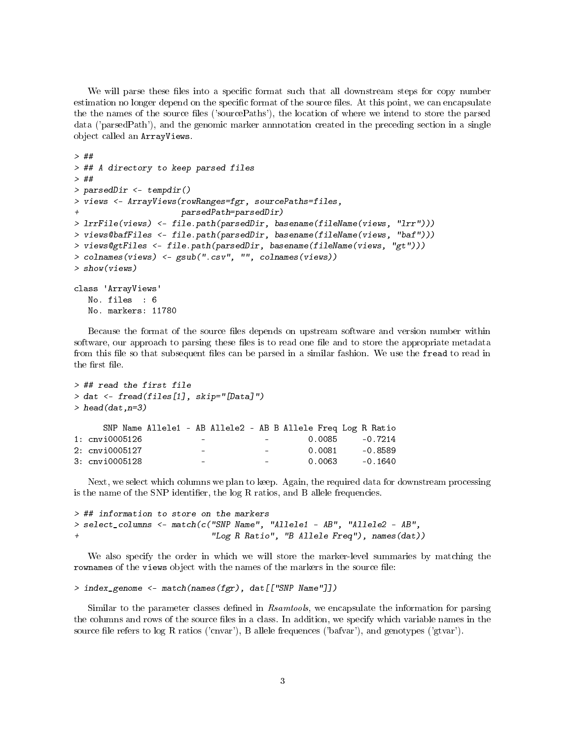We will parse these files into a specific format such that all downstream steps for copy number estimation no longer depend on the specific format of the source files. At this point, we can encapsulate the the names of the source files ('sourcePaths'), the location of where we intend to store the parsed data ('parsedPath'), and the genomic marker annnotation created in the preceding section in a single object called an ArrayViews.

```
> ##
> ## A directory to keep parsed files
> ##
> parsedDir <- tempdir()
> views <- ArrayViews(rowRanges=fgr, sourcePaths=files,
                      + parsedPath=parsedDir)
> lrrFile(views) <- file.path(parsedDir, basename(fileName(views, "lrr")))
> views@bafFiles <- file.path(parsedDir, basename(fileName(views, "baf")))
> views@gtFiles <- file.path(parsedDir, basename(fileName(views, "gt")))
> colnames(views) <- gsub(".csv", "", colnames(views))
> show(views)
class 'ArrayViews'
  No. files : 6
  No. markers: 11780
```
Because the format of the source files depends on upstream software and version number within software, our approach to parsing these files is to read one file and to store the appropriate metadata from this file so that subsequent files can be parsed in a similar fashion. We use the fread to read in the first file.

```
> ## read the first file
> dat <- fread(files[1], skip="[Data]")
> head (dat, n=3)
    SNP Name Allele1 - AB Allele2 - AB B Allele Freq Log R Ratio
1: cnvi0005126 - - - - - 0.0085 -0.7214
2: cnvi0005127 - - 0.0081 -0.8589
3: cnvi0005128 - - - - 0.0063 -0.1640
```
Next, we select which columns we plan to keep. Again, the required data for downstream processing is the name of the SNP identifier, the  $log R$  ratios, and B allele frequencies.

```
> ## information to store on the markers
> select_columns <- match(c("SNP Name", "Allele1 - AB", "Allele2 - AB",
+ "Log R Ratio", "B Allele Freq"), names(dat))
```
We also specify the order in which we will store the marker-level summaries by matching the rownames of the views object with the names of the markers in the source file:

```
> index_genome <- match(names(fgr), dat[["SNP Name"]])
```
Similar to the parameter classes defined in Rsamtools, we encapsulate the information for parsing the columns and rows of the source files in a class. In addition, we specify which variable names in the source file refers to log R ratios ('cnvar'), B allele frequences ('bafvar'), and genotypes ('gtvar').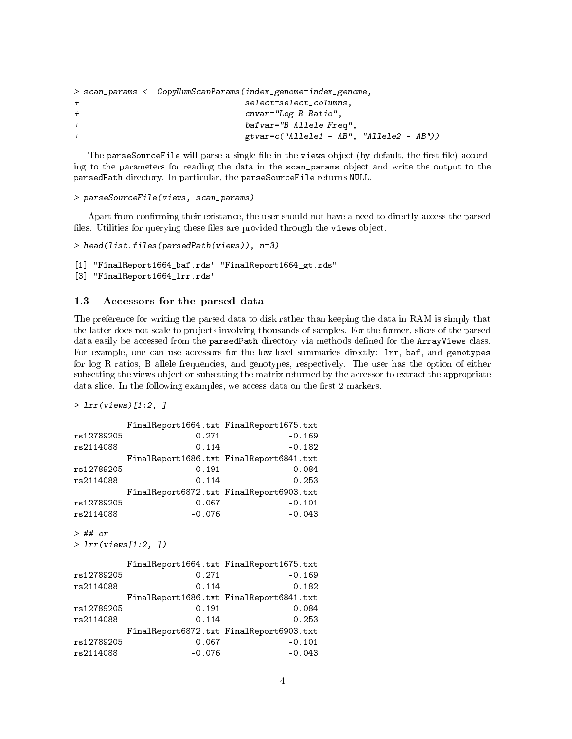```
> scan_params <- CopyNumScanParams(index_genome=index_genome,
+ select=select_columns,
+ cnvar="Log R Ratio",
+ bafvar="B Allele Freq",
+ gtvar=c("Allele1 - AB", "Allele2 - AB"))
```
The parseSourceFile will parse a single file in the views object (by default, the first file) according to the parameters for reading the data in the scan\_params object and write the output to the parsedPath directory. In particular, the parseSourceFile returns NULL.

```
> parseSourceFile(views, scan_params)
```
Apart from confirming their existance, the user should not have a need to directly access the parsed files. Utilities for querying these files are provided through the views object.

```
> head(list.files(parsedPath(views)), n=3)
```

```
[1] "FinalReport1664_baf.rds" "FinalReport1664_gt.rds"
[3] "FinalReport1664_lrr.rds"
```
### 1.3 Accessors for the parsed data

The preference for writing the parsed data to disk rather than keeping the data in RAM is simply that the latter does not scale to projects involving thousands of samples. For the former, slices of the parsed data easily be accessed from the parsedPath directory via methods defined for the ArrayViews class. For example, one can use accessors for the low-level summaries directly: lrr, baf, and genotypes for log R ratios, B allele frequencies, and genotypes, respectively. The user has the option of either subsetting the views object or subsetting the matrix returned by the accessor to extract the appropriate data slice. In the following examples, we access data on the first 2 markers.

```
> lrr(views)[1:2, ]
```

```
FinalReport1664.txt FinalReport1675.txt
rs12789205 0.271 -0.169
rs2114088 0.114 -0.182
      FinalReport1686.txt FinalReport6841.txt
rs12789205 0.191 -0.084
rs2114088 -0.114 0.253
      FinalReport6872.txt FinalReport6903.txt
rs12789205 0.067 -0.101
rs2114088 -0.076 -0.043
> ## or
> lrr(views[1:2, ])
       FinalReport1664.txt FinalReport1675.txt
rs12789205 0.271 -0.169
rs2114088 0.114 -0.182
      FinalReport1686.txt FinalReport6841.txt
rs12789205 0.191 -0.084
rs2114088 -0.114 0.253
      FinalReport6872.txt FinalReport6903.txt
rs12789205 0.067 -0.101
rs2114088 -0.076 -0.043
```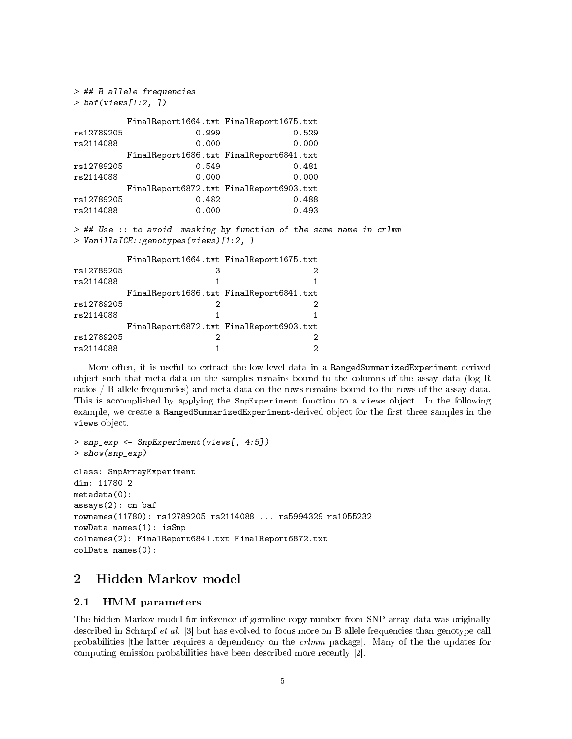> ## B allele frequencies > baf(views[1:2, ]) FinalReport1664.txt FinalReport1675.txt rs12789205 0.999 0.529 rs2114088 0.000 0.000 FinalReport1686.txt FinalReport6841.txt rs12789205 0.549 0.481 rs2114088 0.000 0.000 FinalReport6872.txt FinalReport6903.txt rs12789205 0.482 0.488 rs2114088 0.000 0.493 > ## Use :: to avoid masking by function of the same name in crlmm > VanillaICE::genotypes(views)[1:2, ] FinalReport1664.txt FinalReport1675.txt rs12789205 3 2 rs2114088 1 1 FinalReport1686.txt FinalReport6841.txt rs12789205 2 2 rs2114088 1 1 FinalReport6872.txt FinalReport6903.txt rs12789205 2 2 rs2114088 1 2

More often, it is useful to extract the low-level data in a RangedSummarizedExperiment-derived object such that meta-data on the samples remains bound to the columns of the assay data (log R ratios / B allele frequencies) and meta-data on the rows remains bound to the rows of the assay data. This is accomplished by applying the SnpExperiment function to a views object. In the following example, we create a RangedSummarizedExperiment-derived object for the first three samples in the views object.

```
> snp_exp <- SnpExperiment(views[, 4:5])
> show(snp_exp)
class: SnpArrayExperiment
dim: 11780 2
metadata(0):
assays(2): cn baf
rownames(11780): rs12789205 rs2114088 ... rs5994329 rs1055232
rowData names(1): isSnp
colnames(2): FinalReport6841.txt FinalReport6872.txt
colData names(0):
```
### 2 Hidden Markov model

### 2.1 HMM parameters

The hidden Markov model for inference of germline copy number from SNP array data was originally described in Scharpf et al. [3] but has evolved to focus more on B allele frequencies than genotype call probabilities [the latter requires a dependency on the crlmm package]. Many of the the updates for computing emission probabilities have been described more recently [2].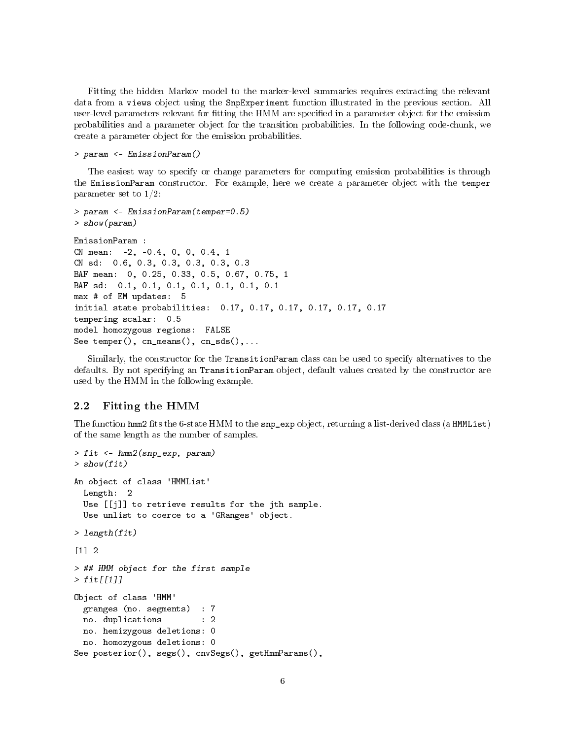Fitting the hidden Markov model to the marker-level summaries requires extracting the relevant data from a views object using the SnpExperiment function illustrated in the previous section. All user-level parameters relevant for fitting the HMM are specified in a parameter object for the emission probabilities and a parameter object for the transition probabilities. In the following code-chunk, we create a parameter object for the emission probabilities.

#### > param <- EmissionParam()

The easiest way to specify or change parameters for computing emission probabilities is through the EmissionParam constructor. For example, here we create a parameter object with the temper parameter set to 1/2:

```
> param <- EmissionParam(temper=0.5)
> show(param)
EmissionParam :
CN mean: -2, -0.4, 0, 0, 0.4, 1
CN sd: 0.6, 0.3, 0.3, 0.3, 0.3, 0.3
BAF mean: 0, 0.25, 0.33, 0.5, 0.67, 0.75, 1
BAF sd: 0.1, 0.1, 0.1, 0.1, 0.1, 0.1, 0.1
max # of EM updates: 5
initial state probabilities: 0.17, 0.17, 0.17, 0.17, 0.17, 0.17
tempering scalar: 0.5
model homozygous regions: FALSE
See temper(), cn_means(), cn_sds(),...
```
Similarly, the constructor for the TransitionParam class can be used to specify alternatives to the defaults. By not specifying an TransitionParam object, default values created by the constructor are used by the HMM in the following example.

### 2.2 Fitting the HMM

The function hmm2 fits the 6-state HMM to the  $\text{sup\_exp}$  object, returning a list-derived class (a HMMList) of the same length as the number of samples.

```
> fit <- hmm2(snp_exp, param)
> show(fit)
An object of class 'HMMList'
 Length: 2
 Use [[j]] to retrieve results for the jth sample.
  Use unlist to coerce to a 'GRanges' object.
> length(fit)
[1] 2
> ## HMM object for the first sample
> fit[[1]]
Object of class 'HMM'
 granges (no. segments) : 7
 no. duplications : 2
 no. hemizygous deletions: 0
 no. homozygous deletions: 0
See posterior(), segs(), cnvSegs(), getHmmParams(),
```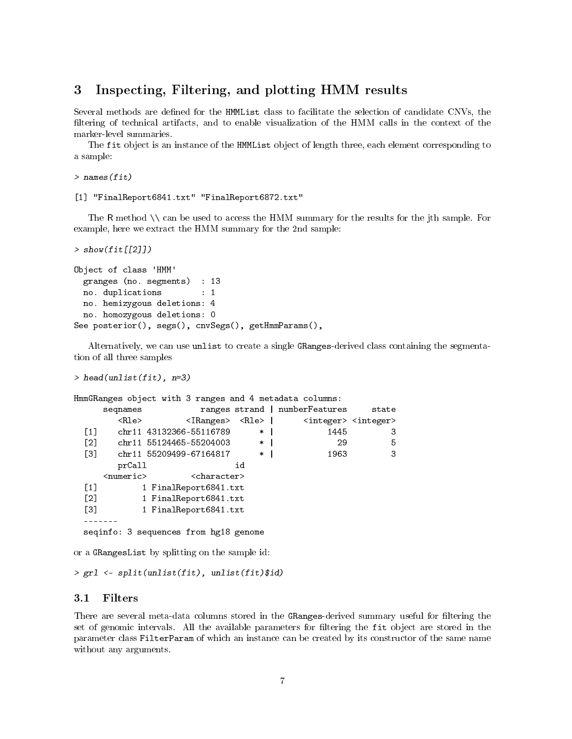### 3 Inspecting, Filtering, and plotting HMM results

Several methods are defined for the HMMList class to facilitate the selection of candidate CNVs, the filtering of technical artifacts, and to enable visualization of the HMM calls in the context of the marker-level summaries.

The fit object is an instance of the HMMList object of length three, each element corresponding to a sample:

```
> names(fit)
```
[1] "FinalReport6841.txt" "FinalReport6872.txt"

The R method \\ can be used to access the HMM summary for the results for the jth sample. For example, here we extract the HMM summary for the 2nd sample:

```
> show(fit[[2]])
```

```
Object of class 'HMM'
 granges (no. segments) : 13
 no. duplications : 1
 no. hemizygous deletions: 4
 no. homozygous deletions: 0
See posterior(), segs(), cnvSegs(), getHmmParams(),
```
Alternatively, we can use unlist to create a single GRanges-derived class containing the segmentation of all three samples

```
> head(unlist(fit), n=3)
```

```
HmmGRanges object with 3 ranges and 4 metadata columns:
    seqnames ranges strand | numberFeatures state
      <Rle> <IRanges> <Rle> <integer> <integer>
 [1] chr11 43132366-55116789 * | 1445 3
 [2] chr11 55124465-55204003 * | 29 5
 [3] chr11 55209499-67164817 * | 1963 3
      prCall id
    <numeric>
<character>
<character>
</br>
 [1] 1 FinalReport6841.txt
 [2] 1 FinalReport6841.txt
 [3] 1 FinalReport6841.txt
 -------
 seqinfo: 3 sequences from hg18 genome
```
or a GRangesList by splitting on the sample id:

```
> grl <- split(unlist(fit), unlist(fit)$id)
```
### 3.1 Filters

There are several meta-data columns stored in the GRanges-derived summary useful for filtering the set of genomic intervals. All the available parameters for filtering the fit object are stored in the parameter class FilterParam of which an instance can be created by its constructor of the same name without any arguments.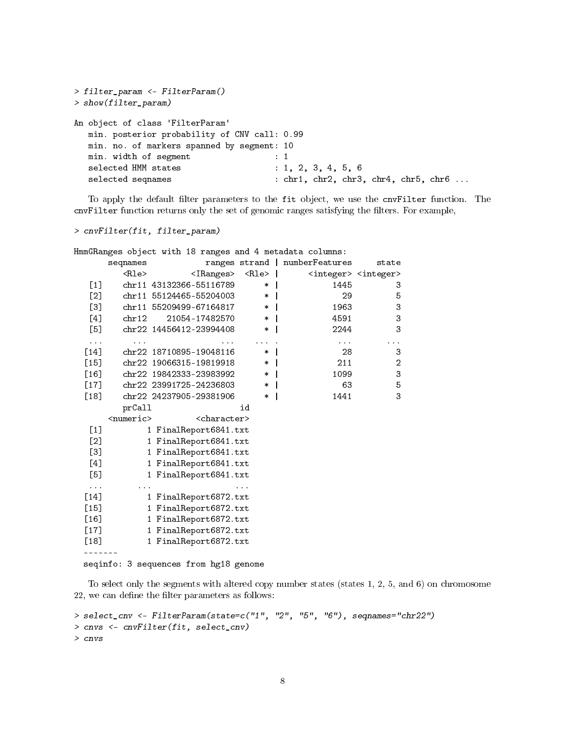```
> filter_param <- FilterParam()
> show(filter_param)
An object of class 'FilterParam'
  min. posterior probability of CNV call: 0.99
  min. no. of markers spanned by segment: 10
  min. width of segment : 1
  selected HMM states : 1, 2, 3, 4, 5, 6
  selected seqnames : chr1, chr2, chr3, chr4, chr5, chr6 ...
```
To apply the default filter parameters to the fit object, we use the cnvFilter function. The cnvFilter function returns only the set of genomic ranges satisfying the filters. For example,

> cnvFilter(fit, filter\_param)

HmmGRanges object with 18 ranges and 4 metadata columns:

|                    | seqnames                    |                                     | ranges strand | numberFeatures | state                                   |
|--------------------|-----------------------------|-------------------------------------|---------------|----------------|-----------------------------------------|
|                    | Rle                         | <iranges></iranges>                 | $<$ Rle $>$   |                | <integer> <integer></integer></integer> |
| [1]                |                             | chr11 43132366-55116789             | $\ast$        | 1445           | 3                                       |
| [2]                |                             | chr11 55124465-55204003             | $\ast$        | 29             | 5                                       |
| [3]                |                             | chr11 55209499-67164817             | $\ast$        | 1963           | 3                                       |
| [4]                | chr12                       | 21054-17482570                      | $\ast$        | 4591           | 3                                       |
| [5]                |                             | chr22 14456412-23994408             | $\ast$        | 2244           | 3                                       |
| $\cdots$           |                             |                                     |               | $\cdots$       | .                                       |
| $[14]$             |                             | chr22 18710895-19048116             | $\ast$        | 28             | 3                                       |
| $[15]$             |                             | chr22 19066315-19819918             | $\ast$        | 211            | $\overline{c}$                          |
| $\lceil 16 \rceil$ |                             | chr22 19842333-23983992             | $\ast$        | 1099           | 3                                       |
| $[17]$             |                             | chr22 23991725-24236803             | $\ast$        | 63             | 5                                       |
| [18]               |                             | chr22 24237905-29381906             | $\ast$        | 1441           | 3                                       |
|                    | prCall                      |                                     | id            |                |                                         |
|                    | $\langle$ numeric $\rangle$ | <character></character>             |               |                |                                         |
| [1]                |                             | 1 FinalReport6841.txt               |               |                |                                         |
| [2]                |                             | 1 FinalReport6841.txt               |               |                |                                         |
| [3]                |                             | 1 FinalReport6841.txt               |               |                |                                         |
| [4]                |                             | FinalReport6841.txt<br>1            |               |                |                                         |
| [5]                |                             | 1 FinalReport6841.txt               |               |                |                                         |
| $\cdots$           |                             |                                     |               |                |                                         |
| $[14]$             |                             | FinalReport6872.txt<br>$\mathbf{1}$ |               |                |                                         |
| $[15]$             |                             | 1 FinalReport6872.txt               |               |                |                                         |
| $[16]$             |                             | FinalReport6872.txt<br>1            |               |                |                                         |
| $[17]$             |                             | 1 FinalReport6872.txt               |               |                |                                         |
| [18]               |                             | FinalReport6872.txt                 |               |                |                                         |
|                    |                             |                                     |               |                |                                         |

seqinfo: 3 sequences from hg18 genome

To select only the segments with altered copy number states (states 1, 2, 5, and 6) on chromosome  $22$ , we can define the filter parameters as follows:

```
> select_cnv <- FilterParam(state=c("1", "2", "5", "6"), seqnames="chr22")
> cnvs <- cnvFilter(fit, select_cnv)
> cnvs
```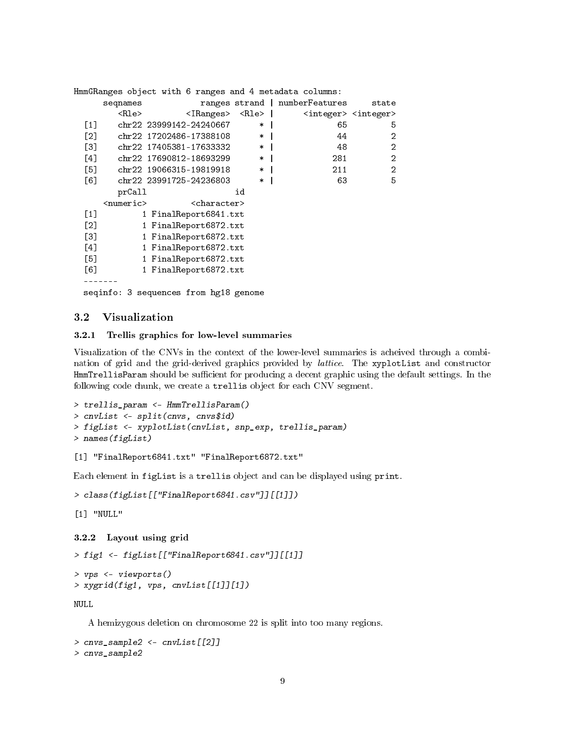```
HmmGRanges object with 6 ranges and 4 metadata columns:
    seqnames ranges strand | numberFeatures state
      <Rle> <IRanges> <Rle> <integer> <integer>
 [1] chr22 23999142-24240667 * | 65 5
 [2] chr22 17202486-17388108 * | 44 2
 [3] chr22 17405381-17633332 * | 48 2
 [4] chr22 17690812-18693299 * | 281 2
 [5] chr22 19066315-19819918 * | 211 2
 [6] chr22 23991725-24236803 * | 63 5
      prCall id
    <numeric> <character>
 [1] 1 FinalReport6841.txt
 [2] 1 FinalReport6872.txt
 [3] 1 FinalReport6872.txt
 [4] 1 FinalReport6872.txt
 [5] 1 FinalReport6872.txt
 [6] 1 FinalReport6872.txt
 -------
 seqinfo: 3 sequences from hg18 genome
```
### 3.2 Visualization

#### 3.2.1 Trellis graphics for low-level summaries

Visualization of the CNVs in the context of the lower-level summaries is acheived through a combination of grid and the grid-derived graphics provided by lattice. The xyplotList and constructor HmmTrellisParam should be sufficient for producing a decent graphic using the default settings. In the following code chunk, we create a trellis object for each CNV segment.

```
> trellis_param <- HmmTrellisParam()
> cnvList <- split(cnvs, cnvs$id)
> figList <- xyplotList(cnvList, snp_exp, trellis_param)
> names(figList)
```
#### [1] "FinalReport6841.txt" "FinalReport6872.txt"

Each element in figList is a trellis object and can be displayed using print.

```
> class(figList[["FinalReport6841.csv"]][[1]])
```

```
[1] "NULL"
```
### 3.2.2 Layout using grid

```
> fig1 <- figList[["FinalReport6841.csv"]][[1]]
```

```
> vps <- viewports()
> xygrid(fig1, vps, cnvList[[1]][1])
```
NULL

A hemizygous deletion on chromosome 22 is split into too many regions.

```
> cnvs_sample2 <- cnvList[[2]]
> cnvs_sample2
```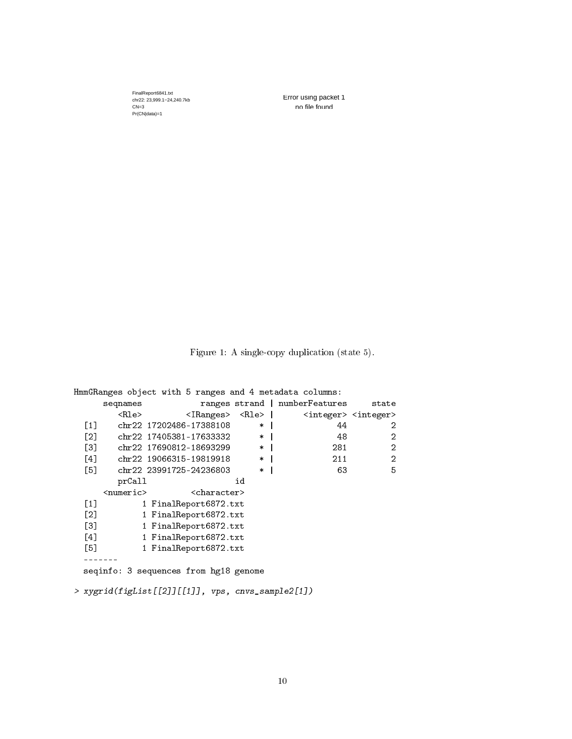FinalReport6841.txt chr22: 23,999.1−24,240.7kb  $CN=3$ Pr(CN|data)=1

Error using packet 1 no file found

Figure 1: A single-copy duplication (state 5).

HmmGRanges object with 5 ranges and 4 metadata columns: ranges strand | numberFeatures state <Rle> <IRanges> <Rle> | <integer> <integer>  $[1]$  chr22 17202486-17388108 \* | 44 2  $[2]$  chr22 17405381-17633332 \* | 48 2<br>  $[3]$  chr22 17690812-18693299 \* | 281 2 [3] chr22 17690812-18693299 \* | 281 [4] chr22 19066315-19819918 \* | 211 2 [5] chr22 23991725-24236803 \* | 63 5 prCall id <numeric> <character> [1] 1 FinalReport6872.txt [2] 1 FinalReport6872.txt [3] 1 FinalReport6872.txt [4] 1 FinalReport6872.txt [5] 1 FinalReport6872.txt ------ seqinfo: 3 sequences from hg18 genome

> xygrid(figList[[2]][[1]], vps, cnvs\_sample2[1])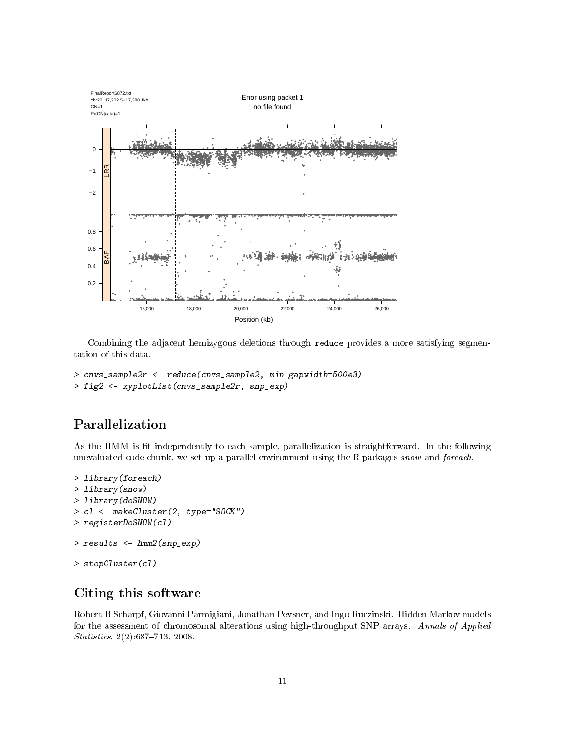

Combining the adjacent hemizygous deletions through reduce provides a more satisfying segmentation of this data.

```
> cnvs_sample2r <- reduce(cnvs_sample2, min.gapwidth=500e3)
> fig2 <- xyplotList(cnvs_sample2r, snp_exp)
```
# Parallelization

As the HMM is fit independently to each sample, parallelization is straightforward. In the following unevaluated code chunk, we set up a parallel environment using the R packages snow and foreach.

```
> library(foreach)
> library(snow)
> library(doSNOW)
> cl <- makeCluster(2, type="SOCK")
> registerDoSNOW(cl)
> results <- hmm2(snp_exp)
> stopCluster(cl)
```
# Citing this software

Robert B Scharpf, Giovanni Parmigiani, Jonathan Pevsner, and Ingo Ruczinski. Hidden Markov models for the assessment of chromosomal alterations using high-throughput SNP arrays. Annals of Applied  $Statistics, 2(2): 687-713, 2008.$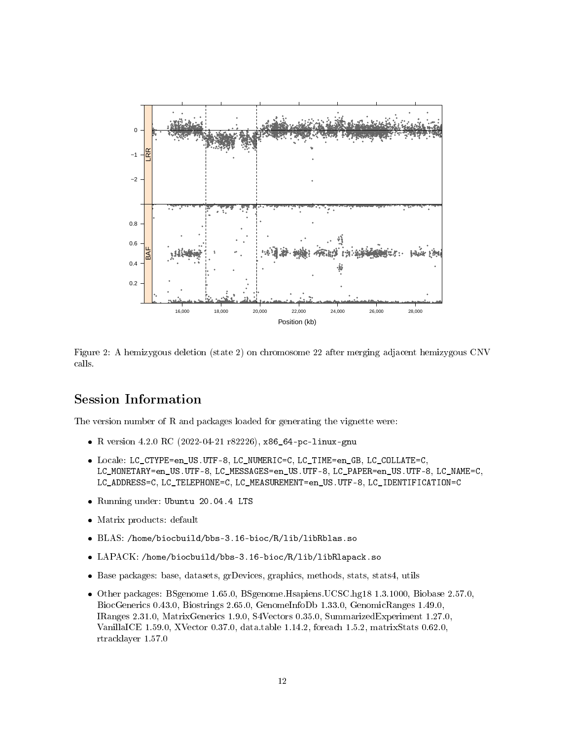

Figure 2: A hemizygous deletion (state 2) on chromosome 22 after merging adjacent hemizygous CNV calls.

## Session Information

The version number of R and packages loaded for generating the vignette were:

- R version 4.2.0 RC (2022-04-21 r82226), x86\_64-pc-linux-gnu
- Locale: LC\_CTYPE=en\_US.UTF-8, LC\_NUMERIC=C, LC\_TIME=en\_GB, LC\_COLLATE=C, LC\_MONETARY=en\_US.UTF-8, LC\_MESSAGES=en\_US.UTF-8, LC\_PAPER=en\_US.UTF-8, LC\_NAME=C, LC\_ADDRESS=C, LC\_TELEPHONE=C, LC\_MEASUREMENT=en\_US.UTF-8, LC\_IDENTIFICATION=C
- Running under: Ubuntu 20.04.4 LTS
- Matrix products: default
- BLAS: /home/biocbuild/bbs-3.16-bioc/R/lib/libRblas.so
- LAPACK: /home/biocbuild/bbs-3.16-bioc/R/lib/libRlapack.so
- Base packages: base, datasets, grDevices, graphics, methods, stats, stats4, utils
- Other packages: BSgenome 1.65.0, BSgenome.Hsapiens.UCSC.hg18 1.3.1000, Biobase 2.57.0, BiocGenerics 0.43.0, Biostrings 2.65.0, GenomeInfoDb 1.33.0, GenomicRanges 1.49.0, IRanges 2.31.0, MatrixGenerics 1.9.0, S4Vectors 0.35.0, SummarizedExperiment 1.27.0, VanillaICE 1.59.0, XVector 0.37.0, data.table 1.14.2, foreach 1.5.2, matrixStats 0.62.0, rtracklayer 1.57.0